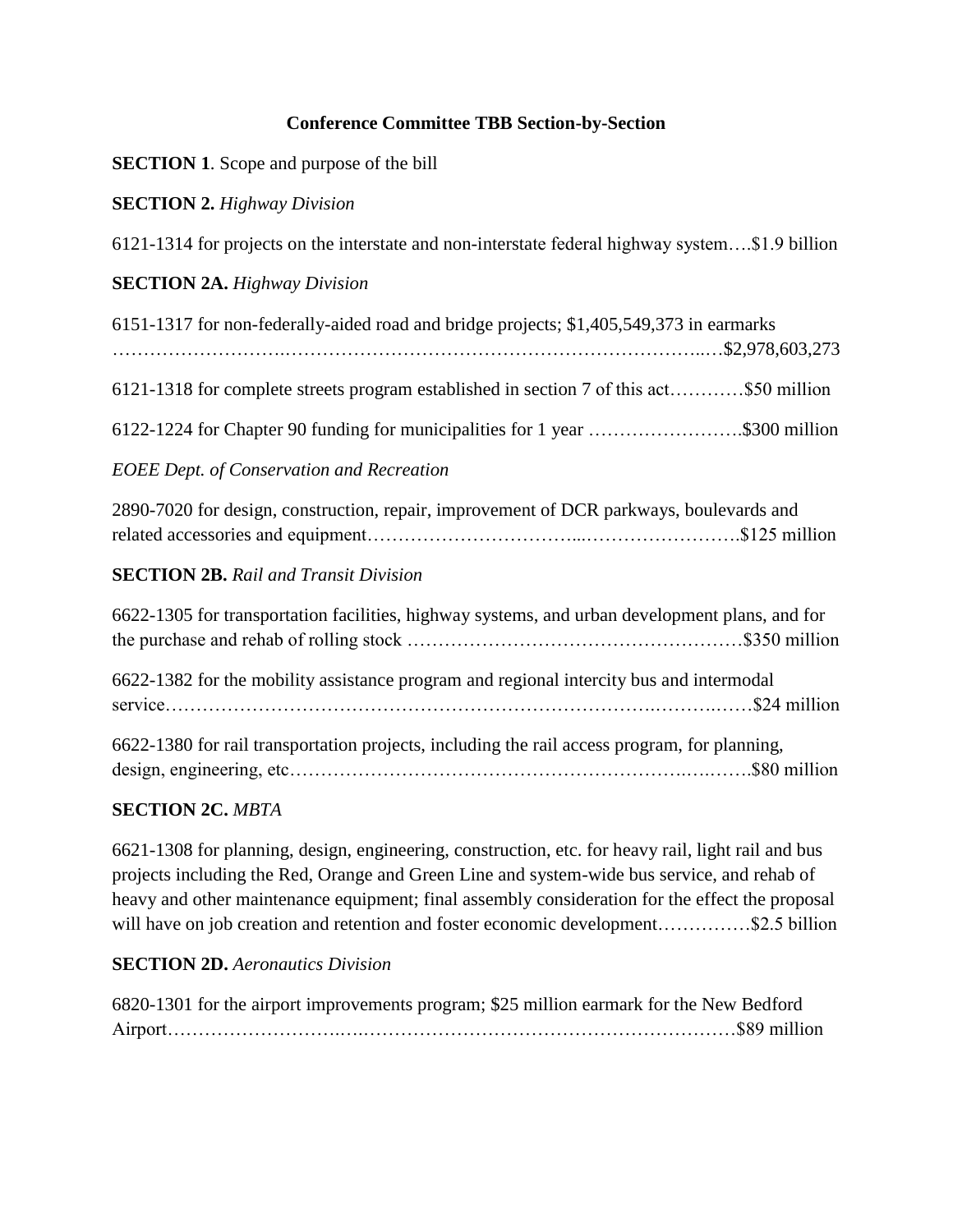## **Conference Committee TBB Section-by-Section**

| <b>SECTION 1.</b> Scope and purpose of the bill |  |  |  |  |  |
|-------------------------------------------------|--|--|--|--|--|
|-------------------------------------------------|--|--|--|--|--|

## **SECTION 2.** *Highway Division*

6121-1314 for projects on the interstate and non-interstate federal highway system….\$1.9 billion

### **SECTION 2A.** *Highway Division*

| 6151-1317 for non-federally-aided road and bridge projects; \$1,405,549,373 in earmarks |  |
|-----------------------------------------------------------------------------------------|--|
|                                                                                         |  |
| 6121-1318 for complete streets program established in section 7 of this act\$50 million |  |
| 6122-1224 for Chapter 90 funding for municipalities for 1 year \$300 million            |  |
| <b>EOEE Dept. of Conservation and Recreation</b>                                        |  |
|                                                                                         |  |

| 2890-7020 for design, construction, repair, improvement of DCR parkways, boulevards and |  |  |  |  |
|-----------------------------------------------------------------------------------------|--|--|--|--|
|                                                                                         |  |  |  |  |

### **SECTION 2B.** *Rail and Transit Division*

| 6622-1305 for transportation facilities, highway systems, and urban development plans, and for |  |
|------------------------------------------------------------------------------------------------|--|
| 6622-1382 for the mobility assistance program and regional intercity bus and intermodal        |  |
| 6622-1380 for rail transportation projects, including the rail access program, for planning,   |  |
|                                                                                                |  |

# **SECTION 2C.** *MBTA*

6621-1308 for planning, design, engineering, construction, etc. for heavy rail, light rail and bus projects including the Red, Orange and Green Line and system-wide bus service, and rehab of heavy and other maintenance equipment; final assembly consideration for the effect the proposal will have on job creation and retention and foster economic development……………\$2.5 billion

### **SECTION 2D.** *Aeronautics Division*

6820-1301 for the airport improvements program; \$25 million earmark for the New Bedford Airport……………………….….……………………………………………………\$89 million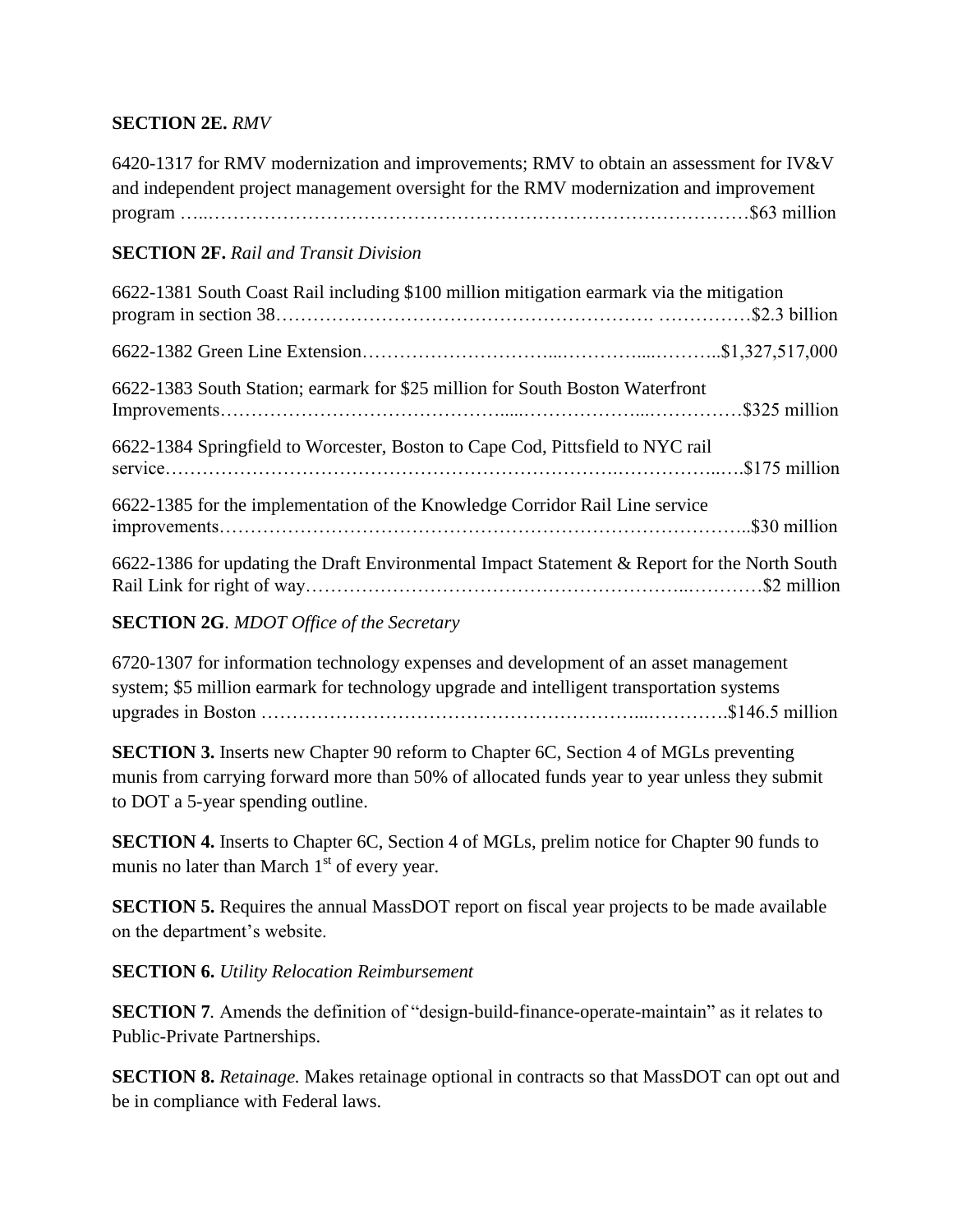## **SECTION 2E.** *RMV*

6420-1317 for RMV modernization and improvements; RMV to obtain an assessment for IV&V and independent project management oversight for the RMV modernization and improvement program …..……………………………………………………………………………\$63 million

## **SECTION 2F.** *Rail and Transit Division*

| 6622-1381 South Coast Rail including \$100 million mitigation earmark via the mitigation     |  |
|----------------------------------------------------------------------------------------------|--|
|                                                                                              |  |
| 6622-1383 South Station; earmark for \$25 million for South Boston Waterfront                |  |
| 6622-1384 Springfield to Worcester, Boston to Cape Cod, Pittsfield to NYC rail               |  |
| 6622-1385 for the implementation of the Knowledge Corridor Rail Line service                 |  |
| 6622-1386 for updating the Draft Environmental Impact Statement & Report for the North South |  |

#### **SECTION 2G**. *MDOT Office of the Secretary*

6720-1307 for information technology expenses and development of an asset management system; \$5 million earmark for technology upgrade and intelligent transportation systems upgrades in Boston ……………………………………………………...………….\$146.5 million

**SECTION 3.** Inserts new Chapter 90 reform to Chapter 6C, Section 4 of MGLs preventing munis from carrying forward more than 50% of allocated funds year to year unless they submit to DOT a 5-year spending outline.

**SECTION 4.** Inserts to Chapter 6C, Section 4 of MGLs, prelim notice for Chapter 90 funds to munis no later than March  $1<sup>st</sup>$  of every year.

**SECTION 5.** Requires the annual MassDOT report on fiscal year projects to be made available on the department's website.

**SECTION 6.** *Utility Relocation Reimbursement*

**SECTION 7***.* Amends the definition of "design-build-finance-operate-maintain" as it relates to Public-Private Partnerships.

**SECTION 8.** *Retainage.* Makes retainage optional in contracts so that MassDOT can opt out and be in compliance with Federal laws.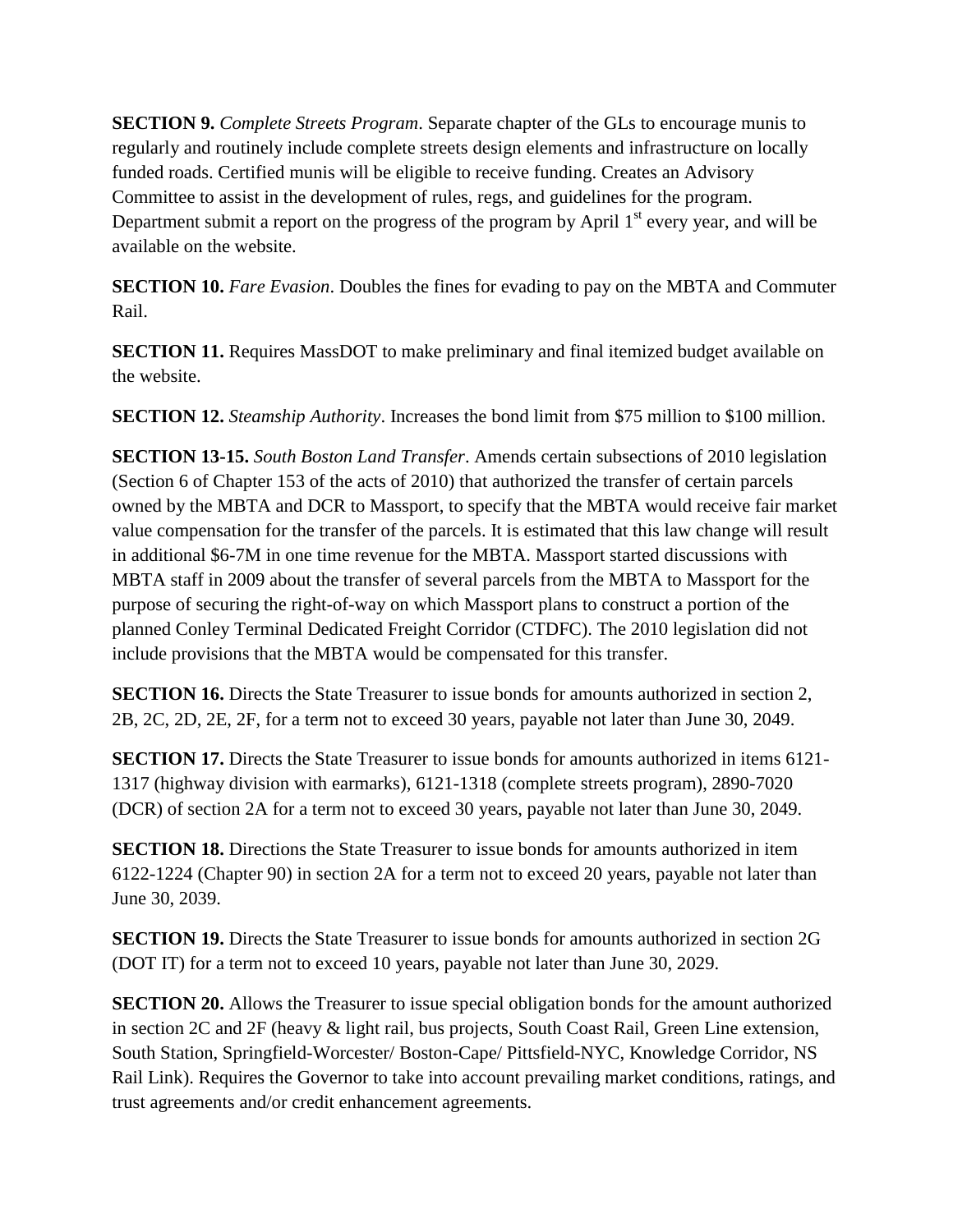**SECTION 9.** *Complete Streets Program*. Separate chapter of the GLs to encourage munis to regularly and routinely include complete streets design elements and infrastructure on locally funded roads. Certified munis will be eligible to receive funding. Creates an Advisory Committee to assist in the development of rules, regs, and guidelines for the program. Department submit a report on the progress of the program by April  $1<sup>st</sup>$  every year, and will be available on the website.

**SECTION 10.** *Fare Evasion*. Doubles the fines for evading to pay on the MBTA and Commuter Rail.

**SECTION 11.** Requires MassDOT to make preliminary and final itemized budget available on the website.

**SECTION 12.** *Steamship Authority*. Increases the bond limit from \$75 million to \$100 million.

**SECTION 13-15.** *South Boston Land Transfer*. Amends certain subsections of 2010 legislation (Section 6 of Chapter 153 of the acts of 2010) that authorized the transfer of certain parcels owned by the MBTA and DCR to Massport, to specify that the MBTA would receive fair market value compensation for the transfer of the parcels. It is estimated that this law change will result in additional \$6-7M in one time revenue for the MBTA. Massport started discussions with MBTA staff in 2009 about the transfer of several parcels from the MBTA to Massport for the purpose of securing the right-of-way on which Massport plans to construct a portion of the planned Conley Terminal Dedicated Freight Corridor (CTDFC). The 2010 legislation did not include provisions that the MBTA would be compensated for this transfer.

**SECTION 16.** Directs the State Treasurer to issue bonds for amounts authorized in section 2, 2B, 2C, 2D, 2E, 2F, for a term not to exceed 30 years, payable not later than June 30, 2049.

**SECTION 17.** Directs the State Treasurer to issue bonds for amounts authorized in items 6121-1317 (highway division with earmarks), 6121-1318 (complete streets program), 2890-7020 (DCR) of section 2A for a term not to exceed 30 years, payable not later than June 30, 2049.

**SECTION 18.** Directions the State Treasurer to issue bonds for amounts authorized in item 6122-1224 (Chapter 90) in section 2A for a term not to exceed 20 years, payable not later than June 30, 2039.

**SECTION 19.** Directs the State Treasurer to issue bonds for amounts authorized in section 2G (DOT IT) for a term not to exceed 10 years, payable not later than June 30, 2029.

**SECTION 20.** Allows the Treasurer to issue special obligation bonds for the amount authorized in section 2C and 2F (heavy & light rail, bus projects, South Coast Rail, Green Line extension, South Station, Springfield-Worcester/ Boston-Cape/ Pittsfield-NYC, Knowledge Corridor, NS Rail Link). Requires the Governor to take into account prevailing market conditions, ratings, and trust agreements and/or credit enhancement agreements.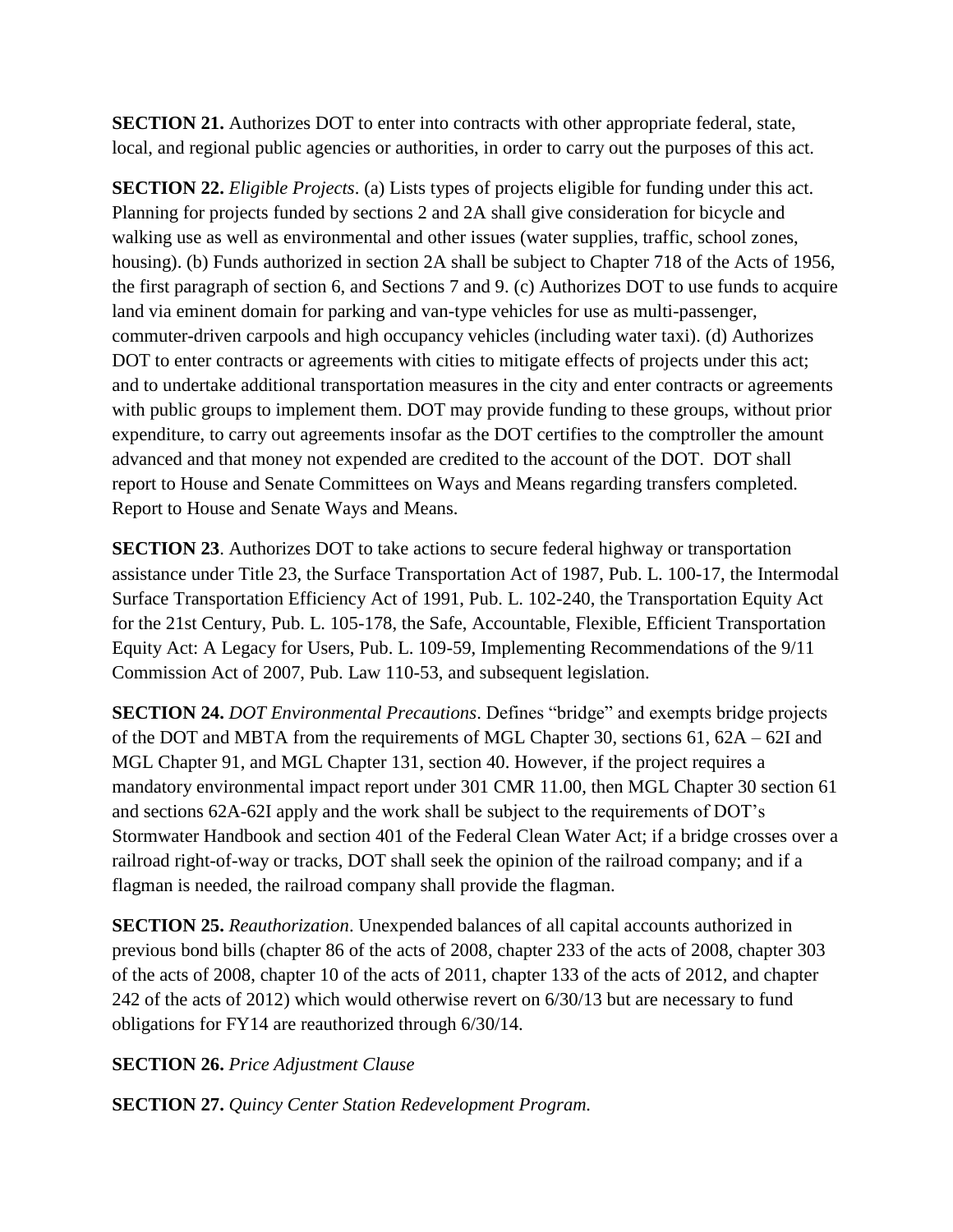**SECTION 21.** Authorizes DOT to enter into contracts with other appropriate federal, state, local, and regional public agencies or authorities, in order to carry out the purposes of this act.

**SECTION 22.** *Eligible Projects*. (a) Lists types of projects eligible for funding under this act. Planning for projects funded by sections 2 and 2A shall give consideration for bicycle and walking use as well as environmental and other issues (water supplies, traffic, school zones, housing). (b) Funds authorized in section 2A shall be subject to Chapter 718 of the Acts of 1956, the first paragraph of section 6, and Sections 7 and 9. (c) Authorizes DOT to use funds to acquire land via eminent domain for parking and van-type vehicles for use as multi-passenger, commuter-driven carpools and high occupancy vehicles (including water taxi). (d) Authorizes DOT to enter contracts or agreements with cities to mitigate effects of projects under this act; and to undertake additional transportation measures in the city and enter contracts or agreements with public groups to implement them. DOT may provide funding to these groups, without prior expenditure, to carry out agreements insofar as the DOT certifies to the comptroller the amount advanced and that money not expended are credited to the account of the DOT. DOT shall report to House and Senate Committees on Ways and Means regarding transfers completed. Report to House and Senate Ways and Means.

**SECTION 23.** Authorizes DOT to take actions to secure federal highway or transportation assistance under Title 23, the Surface Transportation Act of 1987, Pub. L. 100-17, the Intermodal Surface Transportation Efficiency Act of 1991, Pub. L. 102-240, the Transportation Equity Act for the 21st Century, Pub. L. 105-178, the Safe, Accountable, Flexible, Efficient Transportation Equity Act: A Legacy for Users, Pub. L. 109-59, Implementing Recommendations of the 9/11 Commission Act of 2007, Pub. Law 110-53, and subsequent legislation.

**SECTION 24.** *DOT Environmental Precautions*. Defines "bridge" and exempts bridge projects of the DOT and MBTA from the requirements of MGL Chapter 30, sections 61, 62A – 62I and MGL Chapter 91, and MGL Chapter 131, section 40. However, if the project requires a mandatory environmental impact report under 301 CMR 11.00, then MGL Chapter 30 section 61 and sections 62A-62I apply and the work shall be subject to the requirements of DOT's Stormwater Handbook and section 401 of the Federal Clean Water Act; if a bridge crosses over a railroad right-of-way or tracks, DOT shall seek the opinion of the railroad company; and if a flagman is needed, the railroad company shall provide the flagman.

**SECTION 25.** *Reauthorization*. Unexpended balances of all capital accounts authorized in previous bond bills (chapter 86 of the acts of 2008, chapter 233 of the acts of 2008, chapter 303 of the acts of 2008, chapter 10 of the acts of 2011, chapter 133 of the acts of 2012, and chapter 242 of the acts of 2012) which would otherwise revert on 6/30/13 but are necessary to fund obligations for FY14 are reauthorized through 6/30/14.

**SECTION 26.** *Price Adjustment Clause*

**SECTION 27.** *Quincy Center Station Redevelopment Program.*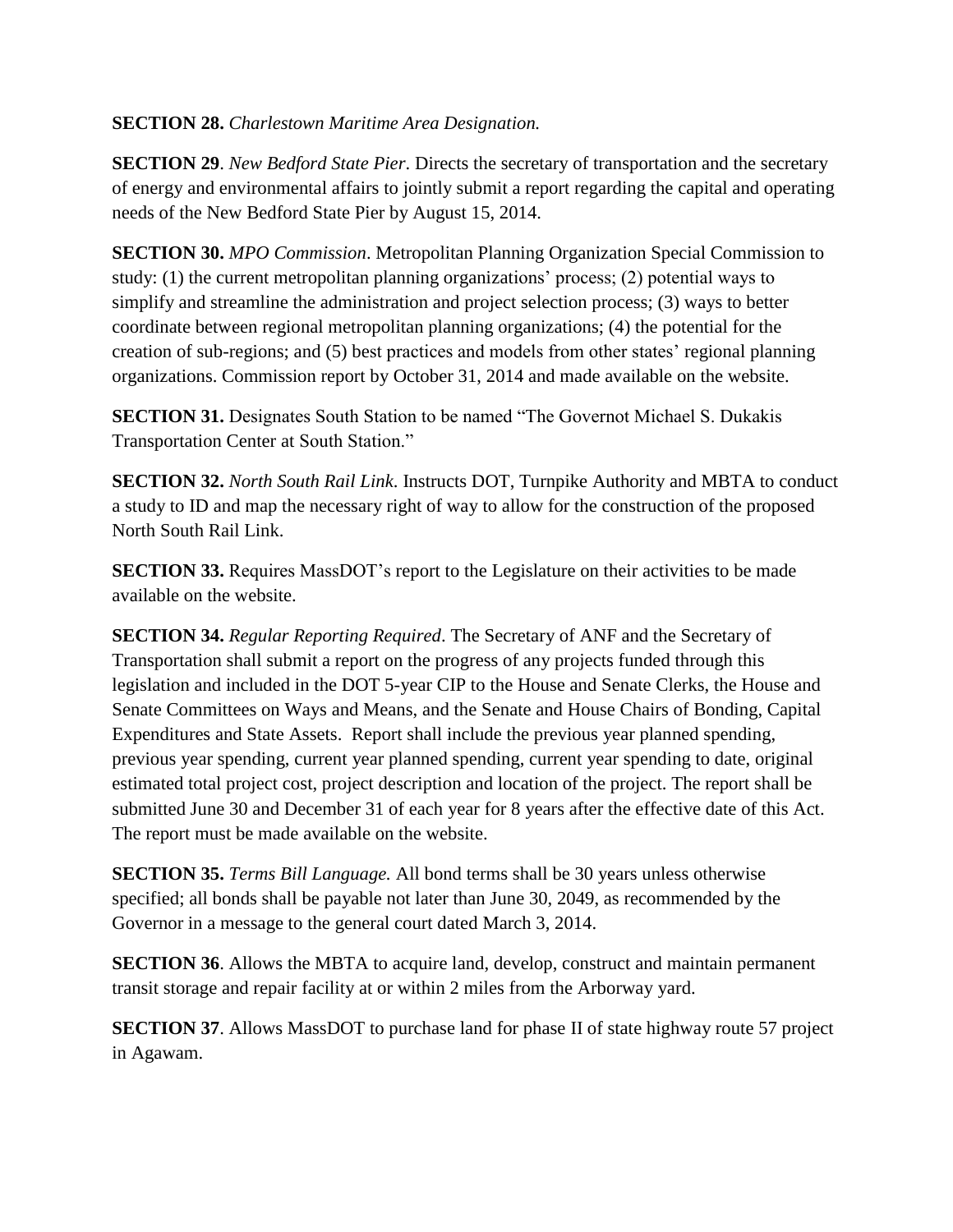### **SECTION 28.** *Charlestown Maritime Area Designation.*

**SECTION 29**. *New Bedford State Pier*. Directs the secretary of transportation and the secretary of energy and environmental affairs to jointly submit a report regarding the capital and operating needs of the New Bedford State Pier by August 15, 2014.

**SECTION 30.** *MPO Commission*. Metropolitan Planning Organization Special Commission to study: (1) the current metropolitan planning organizations' process; (2) potential ways to simplify and streamline the administration and project selection process; (3) ways to better coordinate between regional metropolitan planning organizations; (4) the potential for the creation of sub-regions; and (5) best practices and models from other states' regional planning organizations. Commission report by October 31, 2014 and made available on the website.

**SECTION 31.** Designates South Station to be named "The Governot Michael S. Dukakis" Transportation Center at South Station."

**SECTION 32.** *North South Rail Link*. Instructs DOT, Turnpike Authority and MBTA to conduct a study to ID and map the necessary right of way to allow for the construction of the proposed North South Rail Link.

**SECTION 33.** Requires MassDOT's report to the Legislature on their activities to be made available on the website.

**SECTION 34.** *Regular Reporting Required*. The Secretary of ANF and the Secretary of Transportation shall submit a report on the progress of any projects funded through this legislation and included in the DOT 5-year CIP to the House and Senate Clerks, the House and Senate Committees on Ways and Means, and the Senate and House Chairs of Bonding, Capital Expenditures and State Assets. Report shall include the previous year planned spending, previous year spending, current year planned spending, current year spending to date, original estimated total project cost, project description and location of the project. The report shall be submitted June 30 and December 31 of each year for 8 years after the effective date of this Act. The report must be made available on the website.

**SECTION 35.** *Terms Bill Language.* All bond terms shall be 30 years unless otherwise specified; all bonds shall be payable not later than June 30, 2049, as recommended by the Governor in a message to the general court dated March 3, 2014.

**SECTION 36**. Allows the MBTA to acquire land, develop, construct and maintain permanent transit storage and repair facility at or within 2 miles from the Arborway yard.

**SECTION 37.** Allows MassDOT to purchase land for phase II of state highway route 57 project in Agawam.